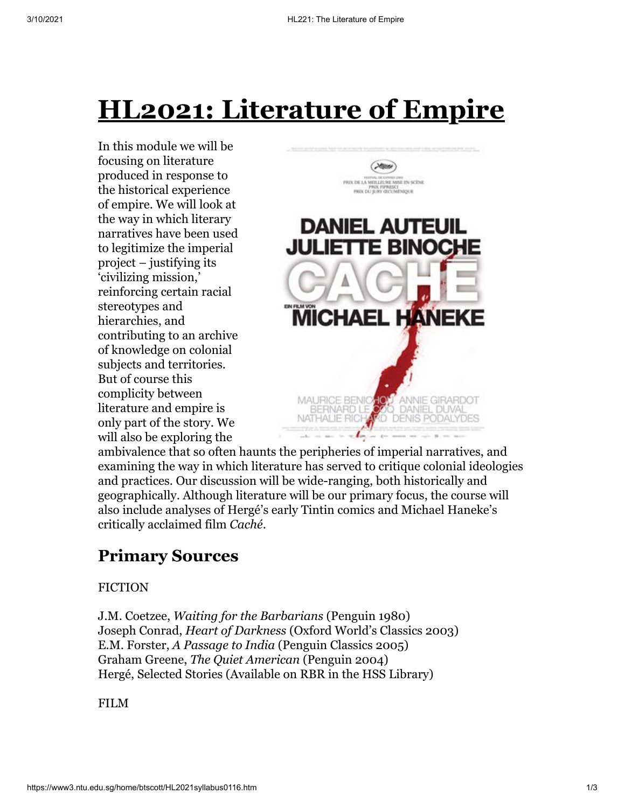# **HL2021: Literature of Empire**

In this module we will be focusing on literature produced in response to the historical experience of empire. We will look at the way in which literary narratives have been used to legitimize the imperial project – justifying its 'civilizing mission,' reinforcing certain racial stereotypes and hierarchies, and contributing to an archive of knowledge on colonial subjects and territories. But of course this complicity between literature and empire is only part of the story. We will also be exploring the



ambivalence that so often haunts the peripheries of imperial narratives, and examining the way in which literature has served to critique colonial ideologies and practices. Our discussion will be wide-ranging, both historically and geographically. Although literature will be our primary focus, the course will also include analyses of Hergé's early Tintin comics and Michael Haneke's critically acclaimed film *Caché*.

## **Primary Sources**

#### FICTION

J.M. Coetzee, *Waiting for the Barbarians* (Penguin 1980) Joseph Conrad, *Heart of Darkness* (Oxford World's Classics 2003) E.M. Forster, *A Passage to India* (Penguin Classics 2005) Graham Greene, *The Quiet American* (Penguin 2004) Hergé, Selected Stories (Available on RBR in the HSS Library)

FILM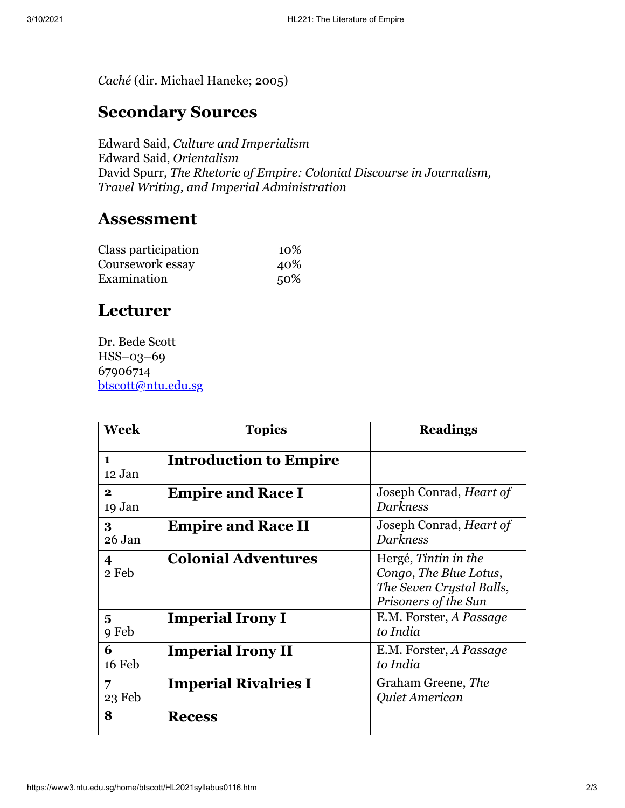*Caché* (dir. Michael Haneke; 2005)

### **Secondary Sources**

Edward Said, *Culture and Imperialism* Edward Said, *Orientalism* David Spurr, *The Rhetoric of Empire: Colonial Discourse in Journalism, Travel Writing, and Imperial Administration*

#### **Assessment**

| Class participation | 10% |
|---------------------|-----|
| Coursework essay    | 40% |
| Examination         | 50% |

#### **Lecturer**

Dr. Bede Scott HSS–03–69 67906714 [btscott@ntu.edu.sg](mailto:btscott@ntu.edu.sg)

| <b>Week</b>            | <b>Topics</b>                 | <b>Readings</b>                                                                                    |
|------------------------|-------------------------------|----------------------------------------------------------------------------------------------------|
| $\mathbf{1}$<br>12 Jan | <b>Introduction to Empire</b> |                                                                                                    |
| $\mathbf{2}$<br>19 Jan | <b>Empire and Race I</b>      | Joseph Conrad, <i>Heart of</i><br><b>Darkness</b>                                                  |
| 3<br>26 Jan            | <b>Empire and Race II</b>     | Joseph Conrad, <i>Heart of</i><br><b>Darkness</b>                                                  |
| 4<br>2 Feb             | <b>Colonial Adventures</b>    | Hergé, Tintin in the<br>Congo, The Blue Lotus,<br>The Seven Crystal Balls,<br>Prisoners of the Sun |
| 5<br>9 Feb             | <b>Imperial Irony I</b>       | E.M. Forster, A Passage<br>to India                                                                |
| 6<br>16 Feb            | <b>Imperial Irony II</b>      | E.M. Forster, A Passage<br>to India                                                                |
| 7<br>23 Feb            | <b>Imperial Rivalries I</b>   | Graham Greene, The<br>Quiet American                                                               |
| 8                      | <b>Recess</b>                 |                                                                                                    |